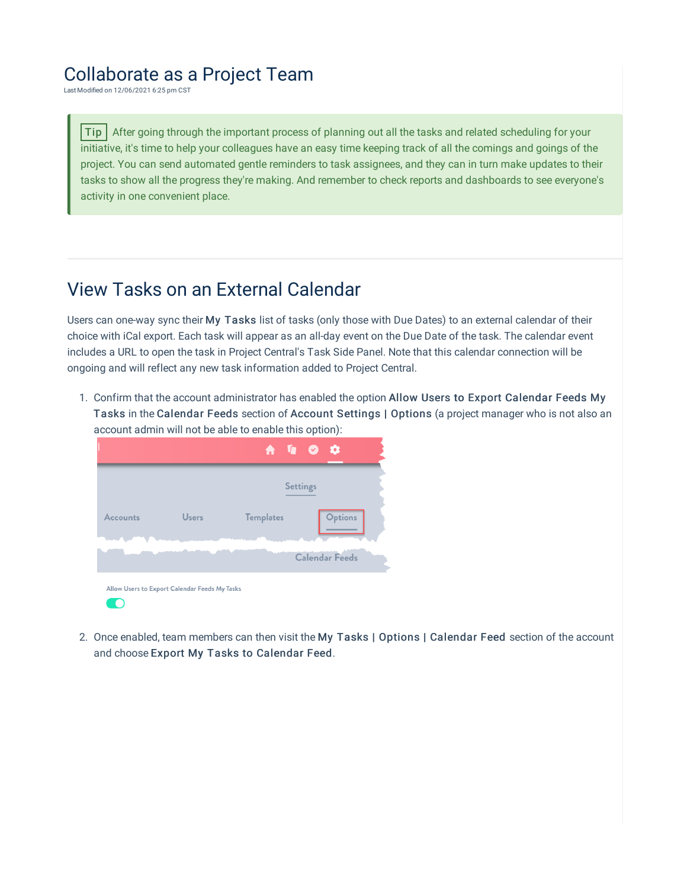## Collaborate as a Project Team

Last Modified on 12/06/2021 6:25 pm CST

Tip After going through the important process of planning out all the tasks and related scheduling for your initiative, it's time to help your colleagues have an easy time keeping track of all the comings and goings of the project. You can send automated gentle reminders to task assignees, and they can in turn make updates to their tasks to show all the progress they're making. And remember to check reports and dashboards to see everyone's activity in one convenient place.

## View Tasks on an External Calendar

Users can one-way sync their My Tasks list of tasks (only those with Due Dates) to an external calendar of their choice with iCal export. Each task will appear as an all-day event on the Due Date of the task. The calendar event includes a URL to open the task in Project Central's Task Side Panel. Note that this calendar connection will be ongoing and will reflect any new task information added to Project Central.

1. Confirm that the account administrator has enabled the option Allow Users to Export Calendar Feeds My Tasks in the Calendar Feeds section of Account Settings | Options (a project manager who is not also an account admin will not be able to enable this option):

|                 |                                               |                  | <b>A I O O</b>        |  |
|-----------------|-----------------------------------------------|------------------|-----------------------|--|
|                 |                                               |                  | <b>Settings</b>       |  |
| <b>Accounts</b> | <b>Users</b>                                  | <b>Templates</b> | <b>Options</b>        |  |
|                 |                                               |                  | <b>Calendar Feeds</b> |  |
|                 | Allow Users to Export Calendar Feeds My Tasks |                  |                       |  |

2. Once enabled, team members can then visit the My Tasks | Options | Calendar Feed section of the account and choose Export My Tasks to Calendar Feed.